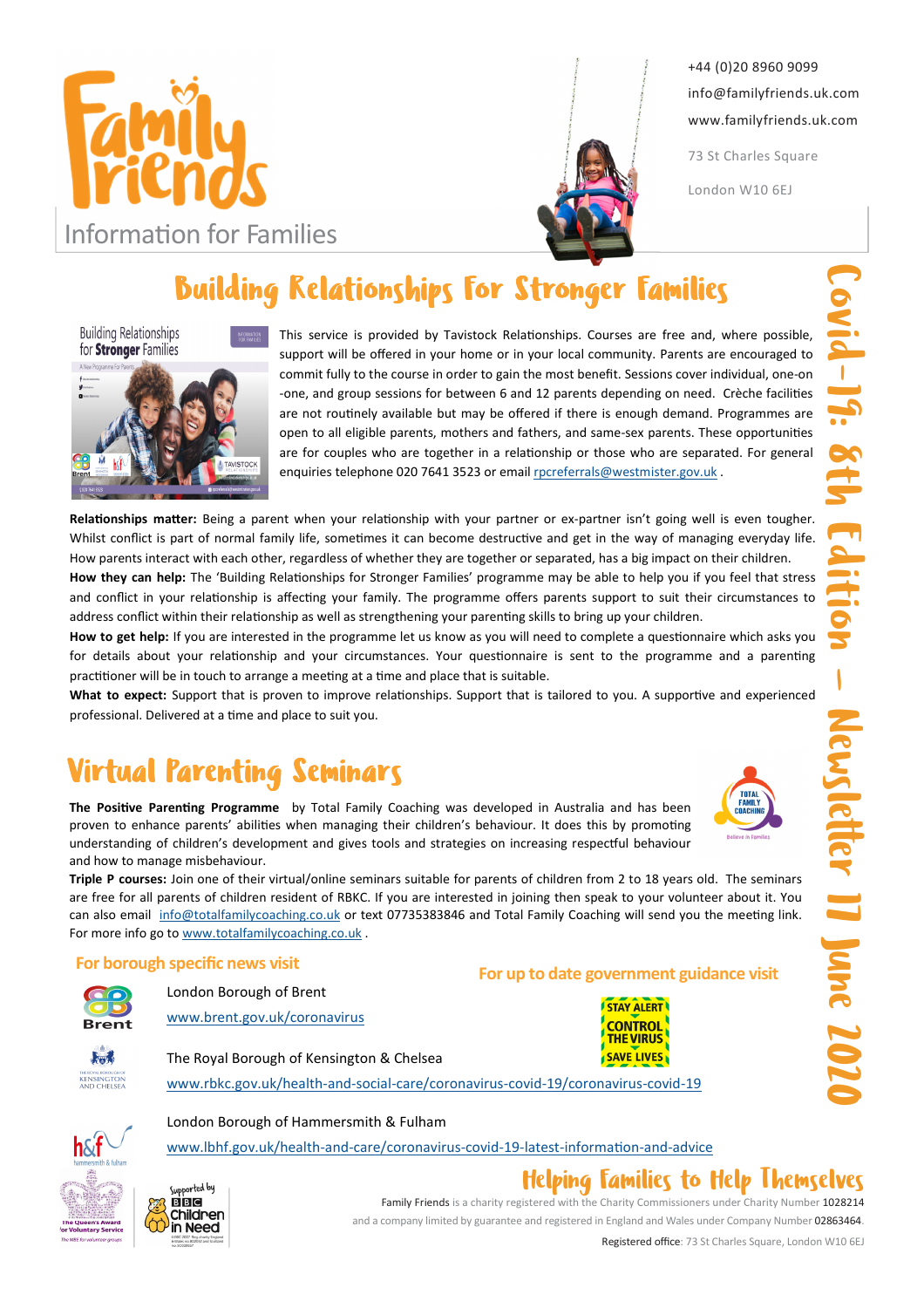



+44 (0)20 8960 9099 info@familyfriends.uk.com www.familyfriends.uk.com

73 St Charles Square

London W10 6EJ

# Building Relationships For Stronger Families

**Building Relationships** for **Stronger** Families



This service is provided by Tavistock Relationships. Courses are free and, where possible, support will be offered in your home or in your local community. Parents are encouraged to commit fully to the course in order to gain the most benefit. Sessions cover individual, one-on -one, and group sessions for between 6 and 12 parents depending on need. Crèche facilities are not routinely available but may be offered if there is enough demand. Programmes are open to all eligible parents, mothers and fathers, and same-sex parents. These opportunities are for couples who are together in a relationship or those who are separated. For general enquiries telephone 020 7641 3523 or email rocreferrals@westmister.gov.uk.

Relationships matter: Being a parent when your relationship with your partner or ex-partner isn't going well is even tougher. Whilst conflict is part of normal family life, sometimes it can become destructive and get in the way of managing everyday life. How parents interact with each other, regardless of whether they are together or separated, has a big impact on their children.

How they can help: The 'Building Relationships for Stronger Families' programme may be able to help you if you feel that stress and conflict in your relationship is affecting your family. The programme offers parents support to suit their circumstances to address conflict within their relationship as well as strengthening your parenting skills to bring up your children.

How to get help: If you are interested in the programme let us know as you will need to complete a questionnaire which asks you for details about your relationship and your circumstances. Your questionnaire is sent to the programme and a parenting practitioner will be in touch to arrange a meeting at a time and place that is suitable.

What to expect: Support that is proven to improve relationships. Support that is tailored to you. A supportive and experienced professional. Delivered at a time and place to suit you.

# Virtual Parenting Seminars

The Positive Parenting Programme by Total Family Coaching was developed in Australia and has been proven to enhance parents' abilities when managing their children's behaviour. It does this by promoting understanding of children's development and gives tools and strategies on increasing respectful behaviour and how to manage misbehaviour.

Triple P courses: Join one of their virtual/online seminars suitable for parents of children from 2 to 18 years old. The seminars are free for all parents of children resident of RBKC. If you are interested in joining then speak to your volunteer about it. You can also email info@totalfamilycoaching.co.uk or text 07735383846 and Total Family Coaching will send you the meeting link. For more info go to www.totalfamilycoaching.co.uk .

## For borough specific news visit<br>
For up to date government guidance visit

| Rrent |
|-------|

London Borough of Brent

www.brent.gov.uk/coronavirus

The Royal Borough of Kensington & Chelsea

London Borough of Hammersmith & Fulham

www.rbkc.gov.uk/health-and-social-care/coronavirus-covid-19/coronavirus-covid-19

www.lbhf.gov.uk/health-and-care/coronavirus-covid-19-latest-information-and-advice







Family Friends is a charity registered with the Charity Commissioners under Charity Number 1028214 and a company limited by guarantee and registered in England and Wales under Company Number 02863464.